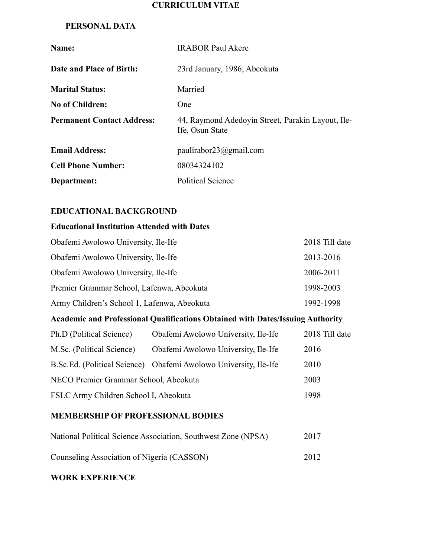# **CURRICULUM VITAE**

### **PERSONAL DATA**

| Name:                             | <b>IRABOR Paul Akere</b>                                             |
|-----------------------------------|----------------------------------------------------------------------|
| Date and Place of Birth:          | 23rd January, 1986; Abeokuta                                         |
| <b>Marital Status:</b>            | Married                                                              |
| <b>No of Children:</b>            | One                                                                  |
| <b>Permanent Contact Address:</b> | 44, Raymond Adedoyin Street, Parakin Layout, Ile-<br>Ife, Osun State |
| <b>Email Address:</b>             | paulirabor23@gmail.com                                               |
| <b>Cell Phone Number:</b>         | 08034324102                                                          |
| Department:                       | <b>Political Science</b>                                             |

# **EDUCATIONAL BACKGROUND**

## **Educational Institution Attended with Dates**

| Obafemi Awolowo University, Ile-Ife         | 2018 Till date |
|---------------------------------------------|----------------|
| Obafemi Awolowo University, Ile-Ife         | 2013-2016      |
| Obafemi Awolowo University, Ile-Ife         | 2006-2011      |
| Premier Grammar School, Lafenwa, Abeokuta   | 1998-2003      |
| Army Children's School 1, Lafenwa, Abeokuta | 1992-1998      |
|                                             |                |

# **Academic and Professional Qualifications Obtained with Dates/Issuing Authority**

| Ph.D (Political Science)              | Obafemi Awolowo University, Ile-Ife                              | 2018 Till date |
|---------------------------------------|------------------------------------------------------------------|----------------|
| M.Sc. (Political Science)             | Obafemi Awolowo University, Ile-Ife                              | 2016           |
|                                       | B.Sc.Ed. (Political Science) Obafemi Awolowo University, Ile-Ife | 2010           |
| NECO Premier Grammar School, Abeokuta |                                                                  | 2003           |
| FSLC Army Children School I, Abeokuta |                                                                  | 1998           |

#### **MEMBERSHIP OF PROFESSIONAL BODIES**

| National Political Science Association, Southwest Zone (NPSA) | 2017 |
|---------------------------------------------------------------|------|
| Counseling Association of Nigeria (CASSON)                    | 2012 |

#### **WORK EXPERIENCE**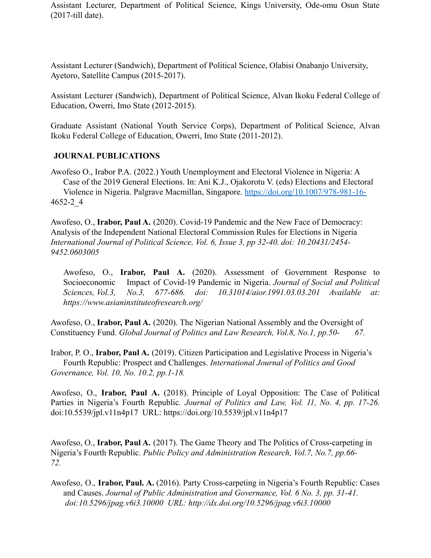Assistant Lecturer, Department of Political Science, Kings University, Ode-omu Osun State (2017-till date).

Assistant Lecturer (Sandwich), Department of Political Science, Olabisi Onabanjo University, Ayetoro, Satellite Campus (2015-2017).

Assistant Lecturer (Sandwich), Department of Political Science, Alvan Ikoku Federal College of Education, Owerri, Imo State (2012-2015).

Graduate Assistant (National Youth Service Corps), Department of Political Science, Alvan Ikoku Federal College of Education, Owerri, Imo State (2011-2012).

# **JOURNAL PUBLICATIONS**

Awofeso O., Irabor P.A. (2022.) Youth Unemployment and Electoral Violence in Nigeria: A Case of the 2019 General Elections. In: Ani K.J., Ojakorotu V. (eds) Elections and Electoral Violence in Nigeria. Palgrave Macmillan, Singapore. <https://doi.org/10.1007/978-981-16-> 4652-2\_4

Awofeso, O., **Irabor, Paul A.** (2020). Covid-19 Pandemic and the New Face of Democracy: Analysis of the Independent National Electoral Commission Rules for Elections in Nigeria *International Journal of Political Science, Vol. 6, Issue 3, pp 32-40. doi: 10.20431/2454- 9452.0603005*

Awofeso, O., **Irabor, Paul A.** (2020). Assessment of Government Response to Socioeconomic Impact of Covid-19 Pandemic in Nigeria. *Journal of Social and Political Sciences, Vol.3, No.3, 677-686. doi: 10.31014/aior.1991.03.03.201 Available at: https://www.asianinstituteofresearch.org/*

Awofeso, O., **Irabor, Paul A.** (2020). The Nigerian National Assembly and the Oversight of Constituency Fund. *Global Journal of Politics and Law Research, Vol.8, No.1, pp.50- 67.*

Irabor, P. O., **Irabor, Paul A.** (2019). Citizen Participation and Legislative Process in Nigeria's Fourth Republic: Prospect and Challenges. *International Journal of Politics and Good Governance, Vol. 10, No. 10.2, pp.1-18.*

Awofeso, O., **Irabor, Paul A.** (2018). Principle of Loyal Opposition: The Case of Political Parties in Nigeria's Fourth Republic*. Journal of Politics and Law, Vol. 11, No. 4, pp. 17-26.* doi:10.5539/jpl.v11n4p17 URL: https://doi.org/10.5539/jpl.v11n4p17

Awofeso, O., **Irabor, Paul A.** (2017). The Game Theory and The Politics of Cross-carpeting in Nigeria's Fourth Republic. *Public Policy and Administration Research, Vol.7, No.7, pp.66- 72.*

Awofeso, O., **Irabor, Paul. A.** (2016). Party Cross-carpeting in Nigeria's Fourth Republic: Cases and Causes. *Journal of Public Administration and Governance, Vol. 6 No. 3, pp. 31-41. doi:10.5296/jpag.v6i3.10000 URL: http://dx.doi.org/10.5296/jpag.v6i3.10000*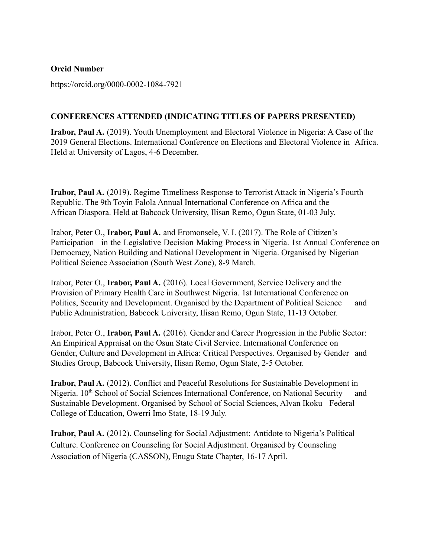#### **Orcid Number**

https://orcid.org/0000-0002-1084-7921

# **CONFERENCES ATTENDED (INDICATING TITLES OF PAPERS PRESENTED)**

**Irabor, Paul A.** (2019). Youth Unemployment and Electoral Violence in Nigeria: A Case of the 2019 General Elections. International Conference on Elections and Electoral Violence in Africa. Held at University of Lagos, 4-6 December.

**Irabor, Paul A.** (2019). Regime Timeliness Response to Terrorist Attack in Nigeria's Fourth Republic. The 9th Toyin Falola Annual International Conference on Africa and the African Diaspora. Held at Babcock University, Ilisan Remo, Ogun State, 01-03 July.

Irabor, Peter O., **Irabor, Paul A.** and Eromonsele, V. I. (2017). The Role of Citizen's Participation in the Legislative Decision Making Process in Nigeria. 1st Annual Conference on Democracy, Nation Building and National Development in Nigeria. Organised by Nigerian Political Science Association (South West Zone), 8-9 March.

Irabor, Peter O., **Irabor, Paul A.** (2016). Local Government, Service Delivery and the Provision of Primary Health Care in Southwest Nigeria. 1st International Conference on Politics, Security and Development. Organised by the Department of Political Science and Public Administration, Babcock University, Ilisan Remo, Ogun State, 11-13 October.

Irabor, Peter O., **Irabor, Paul A.** (2016). Gender and Career Progression in the Public Sector: An Empirical Appraisal on the Osun State Civil Service. International Conference on Gender, Culture and Development in Africa: Critical Perspectives. Organised by Gender and Studies Group, Babcock University, Ilisan Remo, Ogun State, 2-5 October.

**Irabor, Paul A.** (2012). Conflict and Peaceful Resolutions for Sustainable Development in Nigeria. 10<sup>th</sup> School of Social Sciences International Conference, on National Security and Sustainable Development. Organised by School of Social Sciences, Alvan Ikoku Federal College of Education, Owerri Imo State, 18-19 July.

**Irabor, Paul A.** (2012). Counseling for Social Adjustment: Antidote to Nigeria's Political Culture. Conference on Counseling for Social Adjustment. Organised by Counseling Association of Nigeria (CASSON), Enugu State Chapter, 16-17 April.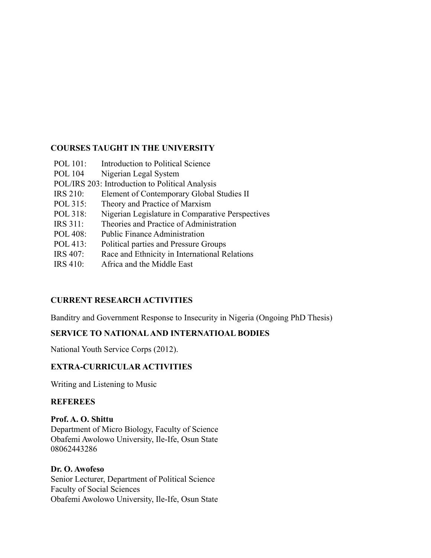# **COURSES TAUGHT IN THE UNIVERSITY**

| POL 101:        | <b>Introduction to Political Science</b>         |
|-----------------|--------------------------------------------------|
| <b>POL 104</b>  | Nigerian Legal System                            |
|                 | POL/IRS 203: Introduction to Political Analysis  |
| <b>IRS 210:</b> | Element of Contemporary Global Studies II        |
| POL 315:        | Theory and Practice of Marxism                   |
| POL 318:        | Nigerian Legislature in Comparative Perspectives |
| <b>IRS</b> 311: | Theories and Practice of Administration          |
| POL 408:        | <b>Public Finance Administration</b>             |
| POL 413:        | Political parties and Pressure Groups            |
| <b>IRS 407:</b> | Race and Ethnicity in International Relations    |
| <b>IRS 410:</b> | Africa and the Middle East                       |

# **CURRENT RESEARCH ACTIVITIES**

Banditry and Government Response to Insecurity in Nigeria (Ongoing PhD Thesis)

# **SERVICE TO NATIONALAND INTERNATIOAL BODIES**

National Youth Service Corps (2012).

# **EXTRA-CURRICULAR ACTIVITIES**

Writing and Listening to Music

#### **REFEREES**

#### **Prof. A. O. Shittu**

Department of Micro Biology, Faculty of Science Obafemi Awolowo University, Ile-Ife, Osun State 08062443286

#### **Dr. O. Awofeso**

Senior Lecturer, Department of Political Science Faculty of Social Sciences Obafemi Awolowo University, Ile-Ife, Osun State